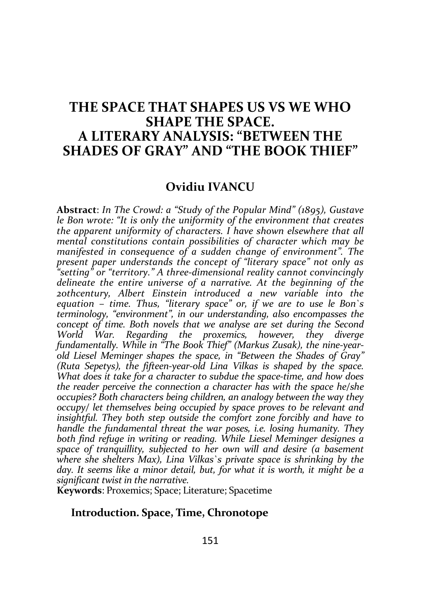# THE SPACE THAT SHAPES US VS WE WHO SHAPE THE SPACE. A LITERARY ANALYSIS: "BETWEEN THE SHADES OF GRAY" AND "THE BOOK THIEF"

## Ovidiu IVANCU

Abstract: In The Crowd: a "Study of the Popular Mind" (1895), Gustave le Bon wrote: "It is only the uniformity of the environment that creates the apparent uniformity of characters. I have shown elsewhere that all mental constitutions contain possibilities of character which may be manifested in consequence of a sudden change of environment". The present paper understands the concept of "literary space" not only as "setting" or "territory." A three-dimensional reality cannot convincingly delineate the entire universe of a narrative. At the beginning of the 20thcentury, Albert Einstein introduced a new variable into the equation – time. Thus, "literary space" or, if we are to use le Bon`s terminology, "environment", in our understanding, also encompasses the concept of time. Both novels that we analyse are set during the Second World War. Regarding the proxemics, however, they diverge fundamentally. While in "The Book Thief" (Markus Zusak), the nine-yearold Liesel Meminger shapes the space, in "Between the Shades of Gray" (Ruta Sepetys), the fifteen-year-old Lina Vilkas is shaped by the space. What does it take for a character to subdue the space-time, and how does the reader perceive the connection a character has with the space he/she occupies? Both characters being children, an analogy between the way they occupy/ let themselves being occupied by space proves to be relevant and insightful. They both step outside the comfort zone forcibly and have to handle the fundamental threat the war poses, i.e. losing humanity. They both find refuge in writing or reading. While Liesel Meminger designes a space of tranquillity, subjected to her own will and desire (a basement where she shelters Max), Lina Vilkas`s private space is shrinking by the day. It seems like a minor detail, but, for what it is worth, it might be a significant twist in the narrative.

Keywords: Proxemics; Space; Literature; Spacetime

### Introduction. Space, Time, Chronotope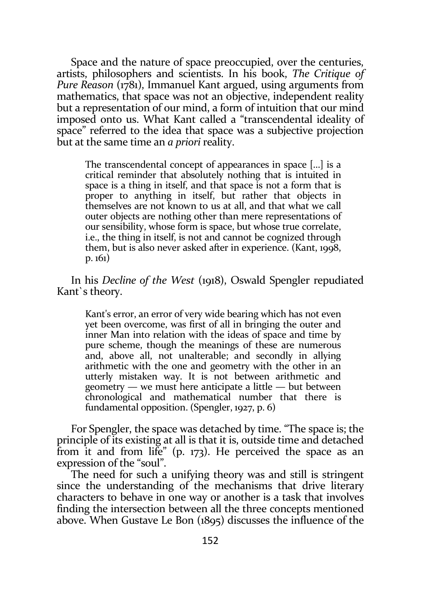Space and the nature of space preoccupied, over the centuries, artists, philosophers and scientists. In his book, The Critique of Pure Reason (1781), Immanuel Kant argued, using arguments from mathematics, that space was not an objective, independent reality but a representation of our mind, a form of intuition that our mind imposed onto us. What Kant called a "transcendental ideality of space" referred to the idea that space was a subjective projection but at the same time an a priori reality.

The transcendental concept of appearances in space […] is a critical reminder that absolutely nothing that is intuited in space is a thing in itself, and that space is not a form that is proper to anything in itself, but rather that objects in themselves are not known to us at all, and that what we call outer objects are nothing other than mere representations of our sensibility, whose form is space, but whose true correlate, i.e., the thing in itself, is not and cannot be cognized through them, but is also never asked after in experience. (Kant, 1998, p. 161)

In his Decline of the West (1918), Oswald Spengler repudiated Kant`s theory.

Kant's error, an error of very wide bearing which has not even yet been overcome, was first of all in bringing the outer and inner Man into relation with the ideas of space and time by pure scheme, though the meanings of these are numerous and, above all, not unalterable; and secondly in allying arithmetic with the one and geometry with the other in an utterly mistaken way. It is not between arithmetic and geometry — we must here anticipate a little — but between chronological and mathematical number that there is fundamental opposition. (Spengler, 1927, p. 6)

For Spengler, the space was detached by time. "The space is; the principle of its existing at all is that it is, outside time and detached from it and from life" (p. 173). He perceived the space as an expression of the "soul".

The need for such a unifying theory was and still is stringent since the understanding of the mechanisms that drive literary characters to behave in one way or another is a task that involves finding the intersection between all the three concepts mentioned above. When Gustave Le Bon (1895) discusses the influence of the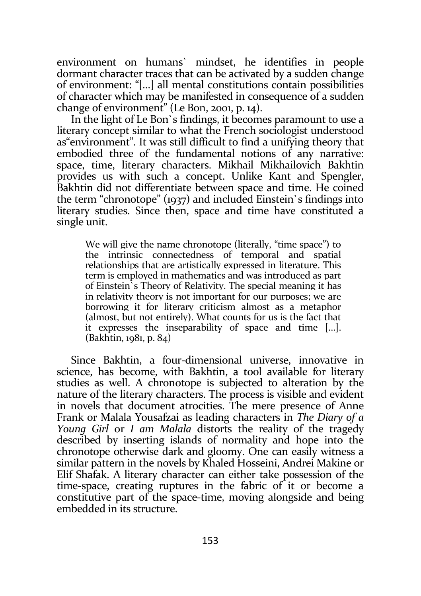environment on humans` mindset, he identifies in people dormant character traces that can be activated by a sudden change of environment: "[…] all mental constitutions contain possibilities of character which may be manifested in consequence of a sudden change of environment" (Le Bon, 2001, p. 14).

In the light of Le Bon`s findings, it becomes paramount to use a literary concept similar to what the French sociologist understood as"environment". It was still difficult to find a unifying theory that embodied three of the fundamental notions of any narrative: space, time, literary characters. Mikhail Mikhailovich Bakhtin provides us with such a concept. Unlike Kant and Spengler, Bakhtin did not differentiate between space and time. He coined the term "chronotope" (1937) and included Einstein`s findings into literary studies. Since then, space and time have constituted a single unit.

We will give the name chronotope (literally, "time space") to the intrinsic connectedness of temporal and spatial relationships that are artistically expressed in literature. This term is employed in mathematics and was introduced as part of Einstein`s Theory of Relativity. The special meaning it has in relativity theory is not important for our purposes; we are borrowing it for literary criticism almost as a metaphor (almost, but not entirely). What counts for us is the fact that it expresses the inseparability of space and time […]. (Bakhtin, 1981, p. 84)

Since Bakhtin, a four-dimensional universe, innovative in science, has become, with Bakhtin, a tool available for literary studies as well. A chronotope is subjected to alteration by the nature of the literary characters. The process is visible and evident in novels that document atrocities. The mere presence of Anne Frank or Malala Yousafzai as leading characters in The Diary of a Young Girl or I am Malala distorts the reality of the tragedy described by inserting islands of normality and hope into the chronotope otherwise dark and gloomy. One can easily witness a similar pattern in the novels by Khaled Hosseini, Andrei Makine or Elif Shafak. A literary character can either take possession of the time-space, creating ruptures in the fabric of it or become a constitutive part of the space-time, moving alongside and being embedded in its structure.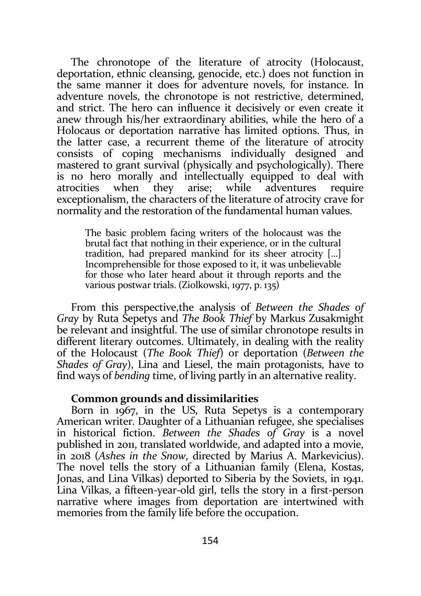The chronotope of the literature of atrocity (Holocaust, deportation, ethnic cleansing, genocide, etc.) does not function in the same manner it does for adventure novels, for instance. In adventure novels, the chronotope is not restrictive, determined, and strict. The hero can influence it decisively or even create it anew through his/her extraordinary abilities, while the hero of a Holocaus or deportation narrative has limited options. Thus, in the latter case, a recurrent theme of the literature of atrocity consists of coping mechanisms individually designed and mastered to grant survival (physically and psychologically). There is no hero morally and intellectually equipped to deal with atrocities when they arise; while adventures require exceptionalism, the characters of the literature of atrocity crave for normality and the restoration of the fundamental human values.

The basic problem facing writers of the holocaust was the brutal fact that nothing in their experience, or in the cultural tradition, had prepared mankind for its sheer atrocity […] Incomprehensible for those exposed to it, it was unbelievable for those who later heard about it through reports and the various postwar trials. (Ziolkowski, 1977, p. 135)

From this perspective,the analysis of Between the Shades of Gray by Ruta Sepetys and The Book Thief by Markus Zusakmight be relevant and insightful. The use of similar chronotope results in different literary outcomes. Ultimately, in dealing with the reality of the Holocaust (The Book Thief) or deportation (Between the Shades of Gray), Lina and Liesel, the main protagonists, have to find ways of bending time, of living partly in an alternative reality.

#### Common grounds and dissimilarities

Born in 1967, in the US, Ruta Sepetys is a contemporary American writer. Daughter of a Lithuanian refugee, she specialises in historical fiction. Between the Shades of Gray is a novel published in 2011, translated worldwide, and adapted into a movie, in 2018 (Ashes in the Snow, directed by Marius A. Markevicius). The novel tells the story of a Lithuanian family (Elena, Kostas, Jonas, and Lina Vilkas) deported to Siberia by the Soviets, in 1941. Lina Vilkas, a fifteen-year-old girl, tells the story in a first-person narrative where images from deportation are intertwined with memories from the family life before the occupation.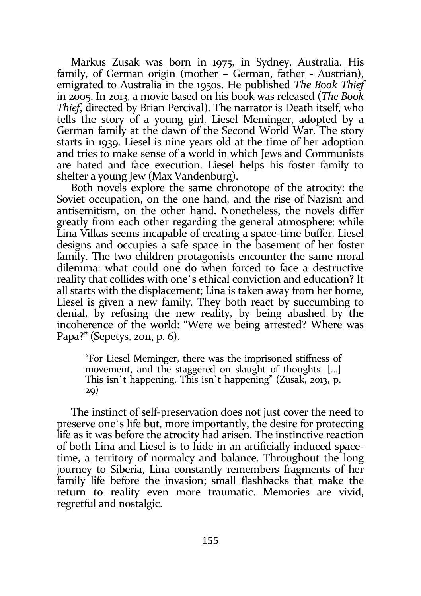Markus Zusak was born in 1975, in Sydney, Australia. His family, of German origin (mother – German, father - Austrian), emigrated to Australia in the 1950s. He published The Book Thief in 2005. In 2013, a movie based on his book was released (The Book Thief, directed by Brian Percival). The narrator is Death itself, who tells the story of a young girl, Liesel Meminger, adopted by a German family at the dawn of the Second World War. The story starts in 1939. Liesel is nine years old at the time of her adoption and tries to make sense of a world in which Jews and Communists are hated and face execution. Liesel helps his foster family to shelter a young Jew (Max Vandenburg).

Both novels explore the same chronotope of the atrocity: the Soviet occupation, on the one hand, and the rise of Nazism and antisemitism, on the other hand. Nonetheless, the novels differ greatly from each other regarding the general atmosphere: while Lina Vilkas seems incapable of creating a space-time buffer, Liesel designs and occupies a safe space in the basement of her foster family. The two children protagonists encounter the same moral dilemma: what could one do when forced to face a destructive reality that collides with one`s ethical conviction and education? It all starts with the displacement; Lina is taken away from her home, Liesel is given a new family. They both react by succumbing to denial, by refusing the new reality, by being abashed by the incoherence of the world: "Were we being arrested? Where was Papa?" (Sepetys, 2011, p. 6).

"For Liesel Meminger, there was the imprisoned stiffness of movement, and the staggered on slaught of thoughts. […] This isn`t happening. This isn`t happening" (Zusak, 2013, p. 29)

The instinct of self-preservation does not just cover the need to preserve one`s life but, more importantly, the desire for protecting life as it was before the atrocity had arisen. The instinctive reaction of both Lina and Liesel is to hide in an artificially induced spacetime, a territory of normalcy and balance. Throughout the long journey to Siberia, Lina constantly remembers fragments of her family life before the invasion; small flashbacks that make the return to reality even more traumatic. Memories are vivid, regretful and nostalgic.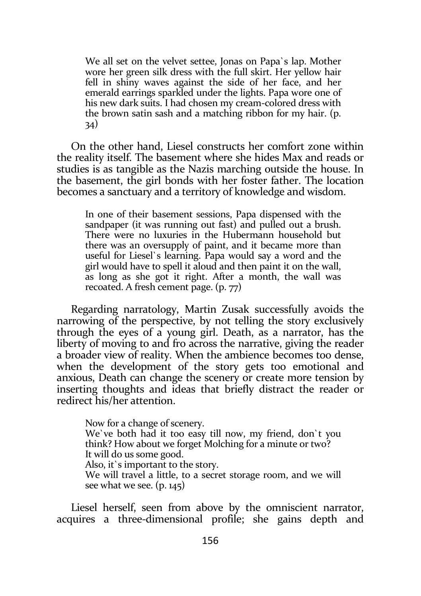We all set on the velvet settee, Jonas on Papa`s lap. Mother wore her green silk dress with the full skirt. Her yellow hair fell in shiny waves against the side of her face, and her emerald earrings sparkled under the lights. Papa wore one of his new dark suits. I had chosen my cream-colored dress with the brown satin sash and a matching ribbon for my hair. (p. 34)

On the other hand, Liesel constructs her comfort zone within the reality itself. The basement where she hides Max and reads or studies is as tangible as the Nazis marching outside the house. In the basement, the girl bonds with her foster father. The location becomes a sanctuary and a territory of knowledge and wisdom.

In one of their basement sessions, Papa dispensed with the sandpaper (it was running out fast) and pulled out a brush. There were no luxuries in the Hubermann household but there was an oversupply of paint, and it became more than useful for Liesel`s learning. Papa would say a word and the girl would have to spell it aloud and then paint it on the wall, as long as she got it right. After a month, the wall was recoated. A fresh cement page. (p. 77)

Regarding narratology, Martin Zusak successfully avoids the narrowing of the perspective, by not telling the story exclusively through the eyes of a young girl. Death, as a narrator, has the liberty of moving to and fro across the narrative, giving the reader a broader view of reality. When the ambience becomes too dense, when the development of the story gets too emotional and anxious, Death can change the scenery or create more tension by inserting thoughts and ideas that briefly distract the reader or redirect his/her attention.

Now for a change of scenery. We`ve both had it too easy till now, my friend, don`t you think? How about we forget Molching for a minute or two? It will do us some good. Also, it`s important to the story. We will travel a little, to a secret storage room, and we will see what we see. (p. 145)

Liesel herself, seen from above by the omniscient narrator, acquires a three-dimensional profile; she gains depth and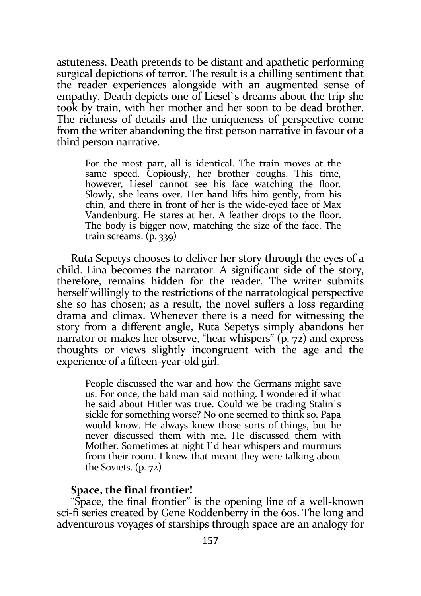astuteness. Death pretends to be distant and apathetic performing surgical depictions of terror. The result is a chilling sentiment that the reader experiences alongside with an augmented sense of empathy. Death depicts one of Liesel`s dreams about the trip she took by train, with her mother and her soon to be dead brother. The richness of details and the uniqueness of perspective come from the writer abandoning the first person narrative in favour of a third person narrative.

For the most part, all is identical. The train moves at the same speed. Copiously, her brother coughs. This time, however, Liesel cannot see his face watching the floor. Slowly, she leans over. Her hand lifts him gently, from his chin, and there in front of her is the wide-eyed face of Max Vandenburg. He stares at her. A feather drops to the floor. The body is bigger now, matching the size of the face. The train screams. (p. 339)

Ruta Sepetys chooses to deliver her story through the eyes of a child. Lina becomes the narrator. A significant side of the story, therefore, remains hidden for the reader. The writer submits herself willingly to the restrictions of the narratological perspective she so has chosen; as a result, the novel suffers a loss regarding drama and climax. Whenever there is a need for witnessing the story from a different angle, Ruta Sepetys simply abandons her narrator or makes her observe, "hear whispers" (p. 72) and express thoughts or views slightly incongruent with the age and the experience of a fifteen-year-old girl.

People discussed the war and how the Germans might save us. For once, the bald man said nothing. I wondered if what he said about Hitler was true. Could we be trading Stalin`s sickle for something worse? No one seemed to think so. Papa would know. He always knew those sorts of things, but he never discussed them with me. He discussed them with Mother. Sometimes at night I`d hear whispers and murmurs from their room. I knew that meant they were talking about the Soviets. (p. 72)

## Space, the final frontier!

"Space, the final frontier" is the opening line of a well-known sci-fi series created by Gene Roddenberry in the 60s. The long and adventurous voyages of starships through space are an analogy for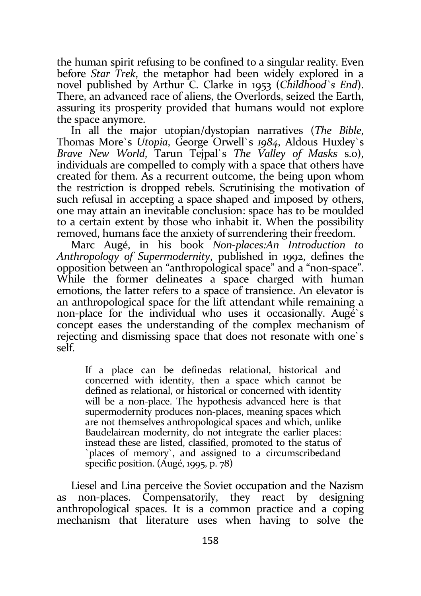the human spirit refusing to be confined to a singular reality. Even before Star Trek, the metaphor had been widely explored in a novel published by Arthur C. Clarke in 1953 (Childhood's End). There, an advanced race of aliens, the Overlords, seized the Earth, assuring its prosperity provided that humans would not explore the space anymore.

In all the major utopian/dystopian narratives (The Bible, Thomas More`s Utopia, George Orwell`s 1984, Aldous Huxley`s Brave New World, Tarun Tejpal`s The Valley of Masks s.o), individuals are compelled to comply with a space that others have created for them. As a recurrent outcome, the being upon whom the restriction is dropped rebels. Scrutinising the motivation of such refusal in accepting a space shaped and imposed by others, one may attain an inevitable conclusion: space has to be moulded to a certain extent by those who inhabit it. When the possibility removed, humans face the anxiety of surrendering their freedom.

Marc Augé, in his book Non-places:An Introduction to Anthropology of Supermodernity, published in 1992, defines the opposition between an "anthropological space" and a "non-space". While the former delineates a space charged with human emotions, the latter refers to a space of transience. An elevator is an anthropological space for the lift attendant while remaining a non-place for the individual who uses it occasionally. Augé`s concept eases the understanding of the complex mechanism of rejecting and dismissing space that does not resonate with one`s self.

If a place can be definedas relational, historical and concerned with identity, then a space which cannot be defined as relational, or historical or concerned with identity will be a non-place. The hypothesis advanced here is that supermodernity produces non-places, meaning spaces which are not themselves anthropological spaces and which, unlike Baudelairean modernity, do not integrate the earlier places: instead these are listed, classified, promoted to the status of `places of memory`, and assigned to a circumscribedand specific position. (Augé, 1995, p. 78)

Liesel and Lina perceive the Soviet occupation and the Nazism as non-places. Compensatorily, they react by designing anthropological spaces. It is a common practice and a coping mechanism that literature uses when having to solve the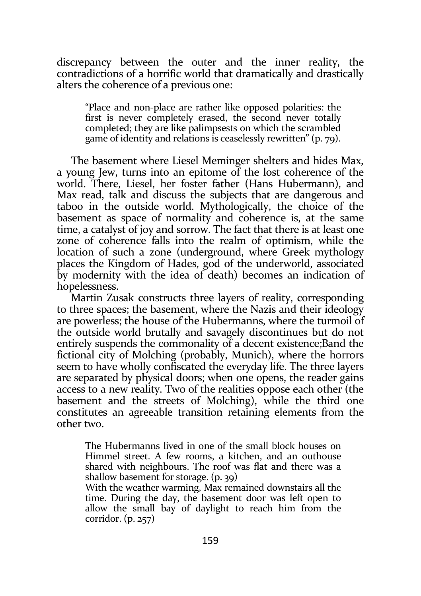discrepancy between the outer and the inner reality, the contradictions of a horrific world that dramatically and drastically alters the coherence of a previous one:

"Place and non-place are rather like opposed polarities: the first is never completely erased, the second never totally completed; they are like palimpsests on which the scrambled game of identity and relations is ceaselessly rewritten" (p. 79).

The basement where Liesel Meminger shelters and hides Max, a young Jew, turns into an epitome of the lost coherence of the world. There, Liesel, her foster father (Hans Hubermann), and Max read, talk and discuss the subjects that are dangerous and taboo in the outside world. Mythologically, the choice of the basement as space of normality and coherence is, at the same time, a catalyst of joy and sorrow. The fact that there is at least one zone of coherence falls into the realm of optimism, while the location of such a zone (underground, where Greek mythology places the Kingdom of Hades, god of the underworld, associated by modernity with the idea of death) becomes an indication of hopelessness.

Martin Zusak constructs three layers of reality, corresponding to three spaces; the basement, where the Nazis and their ideology are powerless; the house of the Hubermanns, where the turmoil of the outside world brutally and savagely discontinues but do not entirely suspends the commonality of a decent existence;Band the fictional city of Molching (probably, Munich), where the horrors seem to have wholly confiscated the everyday life. The three layers are separated by physical doors; when one opens, the reader gains access to a new reality. Two of the realities oppose each other (the basement and the streets of Molching), while the third one constitutes an agreeable transition retaining elements from the other two.

The Hubermanns lived in one of the small block houses on Himmel street. A few rooms, a kitchen, and an outhouse shared with neighbours. The roof was flat and there was a shallow basement for storage. (p. 39)

With the weather warming, Max remained downstairs all the time. During the day, the basement door was left open to allow the small bay of daylight to reach him from the corridor. (p. 257)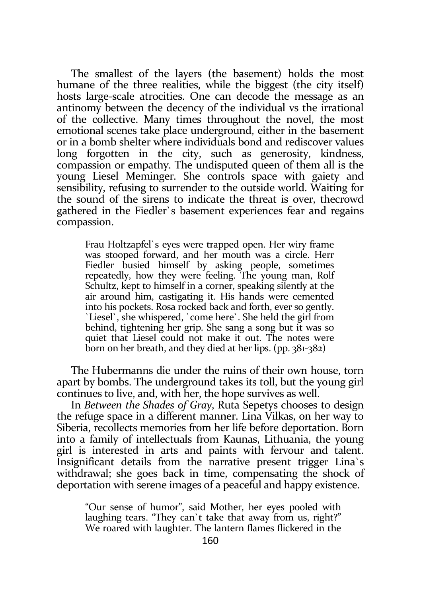The smallest of the layers (the basement) holds the most humane of the three realities, while the biggest (the city itself) hosts large-scale atrocities. One can decode the message as an antinomy between the decency of the individual vs the irrational of the collective. Many times throughout the novel, the most emotional scenes take place underground, either in the basement or in a bomb shelter where individuals bond and rediscover values long forgotten in the city, such as generosity, kindness, compassion or empathy. The undisputed queen of them all is the young Liesel Meminger. She controls space with gaiety and sensibility, refusing to surrender to the outside world. Waiting for the sound of the sirens to indicate the threat is over, thecrowd gathered in the Fiedler`s basement experiences fear and regains compassion.

Frau Holtzapfel`s eyes were trapped open. Her wiry frame was stooped forward, and her mouth was a circle. Herr Fiedler busied himself by asking people, sometimes repeatedly, how they were feeling. The young man, Rolf Schultz, kept to himself in a corner, speaking silently at the air around him, castigating it. His hands were cemented into his pockets. Rosa rocked back and forth, ever so gently. `Liesel`, she whispered, `come here`. She held the girl from behind, tightening her grip. She sang a song but it was so quiet that Liesel could not make it out. The notes were born on her breath, and they died at her lips. (pp. 381-382)

The Hubermanns die under the ruins of their own house, torn apart by bombs. The underground takes its toll, but the young girl continues to live, and, with her, the hope survives as well.

In Between the Shades of Gray, Ruta Sepetys chooses to design the refuge space in a different manner. Lina Vilkas, on her way to Siberia, recollects memories from her life before deportation. Born into a family of intellectuals from Kaunas, Lithuania, the young girl is interested in arts and paints with fervour and talent. Insignificant details from the narrative present trigger Lina`s withdrawal; she goes back in time, compensating the shock of deportation with serene images of a peaceful and happy existence.

"Our sense of humor", said Mother, her eyes pooled with laughing tears. "They can`t take that away from us, right?" We roared with laughter. The lantern flames flickered in the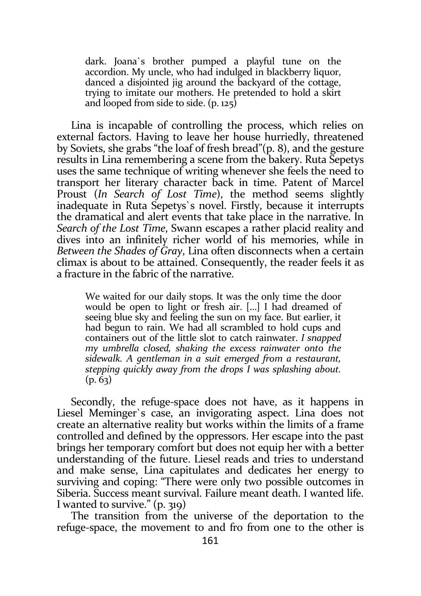dark. Joana`s brother pumped a playful tune on the accordion. My uncle, who had indulged in blackberry liquor, danced a disjointed jig around the backyard of the cottage, trying to imitate our mothers. He pretended to hold a skirt and looped from side to side. (p. 125)

Lina is incapable of controlling the process, which relies on external factors. Having to leave her house hurriedly, threatened by Soviets, she grabs "the loaf of fresh bread"(p. 8), and the gesture results in Lina remembering a scene from the bakery. Ruta Sepetys uses the same technique of writing whenever she feels the need to transport her literary character back in time. Patent of Marcel Proust (In Search of Lost Time), the method seems slightly inadequate in Ruta Sepetys`s novel. Firstly, because it interrupts the dramatical and alert events that take place in the narrative. In Search of the Lost Time, Swann escapes a rather placid reality and dives into an infinitely richer world of his memories, while in Between the Shades of Gray, Lina often disconnects when a certain climax is about to be attained. Consequently, the reader feels it as a fracture in the fabric of the narrative.

We waited for our daily stops. It was the only time the door would be open to light or fresh air. […] I had dreamed of seeing blue sky and feeling the sun on my face. But earlier, it had begun to rain. We had all scrambled to hold cups and containers out of the little slot to catch rainwater. I snapped my umbrella closed, shaking the excess rainwater onto the sidewalk. A gentleman in a suit emerged from a restaurant, stepping quickly away from the drops I was splashing about.  $(p. 63)$ 

Secondly, the refuge-space does not have, as it happens in Liesel Meminger`s case, an invigorating aspect. Lina does not create an alternative reality but works within the limits of a frame controlled and defined by the oppressors. Her escape into the past brings her temporary comfort but does not equip her with a better understanding of the future. Liesel reads and tries to understand and make sense, Lina capitulates and dedicates her energy to surviving and coping: "There were only two possible outcomes in Siberia. Success meant survival. Failure meant death. I wanted life. I wanted to survive."  $(p, q<sub>19</sub>)$ 

The transition from the universe of the deportation to the refuge-space, the movement to and fro from one to the other is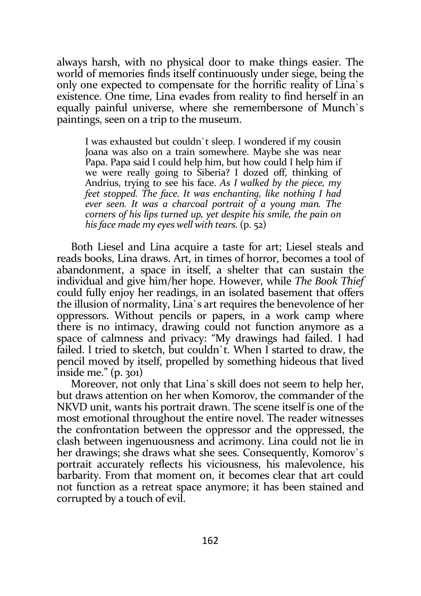always harsh, with no physical door to make things easier. The world of memories finds itself continuously under siege, being the only one expected to compensate for the horrific reality of Lina`s existence. One time, Lina evades from reality to find herself in an equally painful universe, where she remembersone of Munch`s paintings, seen on a trip to the museum.

I was exhausted but couldn`t sleep. I wondered if my cousin Joana was also on a train somewhere. Maybe she was near Papa. Papa said I could help him, but how could I help him if we were really going to Siberia? I dozed off, thinking of Andrius, trying to see his face. As I walked by the piece, my feet stopped. The face. It was enchanting, like nothing I had ever seen. It was a charcoal portrait of a young man. The corners of his lips turned up, yet despite his smile, the pain on his face made my eyes well with tears. (p. 52)

Both Liesel and Lina acquire a taste for art; Liesel steals and reads books, Lina draws. Art, in times of horror, becomes a tool of abandonment, a space in itself, a shelter that can sustain the individual and give him/her hope. However, while The Book Thief could fully enjoy her readings, in an isolated basement that offers the illusion of normality, Lina`s art requires the benevolence of her oppressors. Without pencils or papers, in a work camp where there is no intimacy, drawing could not function anymore as a space of calmness and privacy: "My drawings had failed. I had failed. I tried to sketch, but couldn't. When I started to draw, the pencil moved by itself, propelled by something hideous that lived inside me."  $(p. 301)$ 

Moreover, not only that Lina`s skill does not seem to help her, but draws attention on her when Komorov, the commander of the NKVD unit, wants his portrait drawn. The scene itself is one of the most emotional throughout the entire novel. The reader witnesses the confrontation between the oppressor and the oppressed, the clash between ingenuousness and acrimony. Lina could not lie in her drawings; she draws what she sees. Consequently, Komorov`s portrait accurately reflects his viciousness, his malevolence, his barbarity. From that moment on, it becomes clear that art could not function as a retreat space anymore; it has been stained and corrupted by a touch of evil.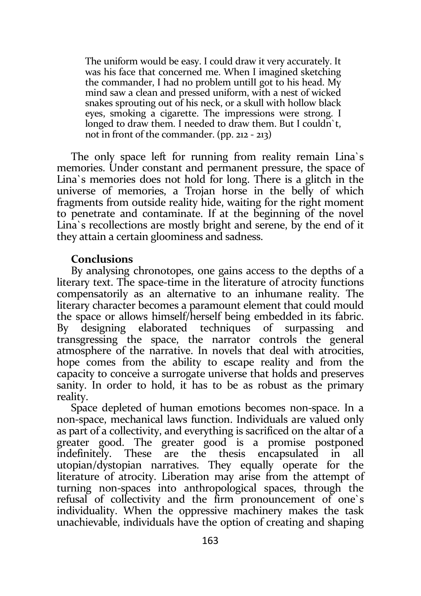The uniform would be easy. I could draw it very accurately. It was his face that concerned me. When I imagined sketching the commander, I had no problem untilI got to his head. My mind saw a clean and pressed uniform, with a nest of wicked snakes sprouting out of his neck, or a skull with hollow black eyes, smoking a cigarette. The impressions were strong. I longed to draw them. I needed to draw them. But I couldn't. not in front of the commander. (pp. 212 - 213)

The only space left for running from reality remain Lina`s memories. Under constant and permanent pressure, the space of Lina`s memories does not hold for long. There is a glitch in the universe of memories, a Trojan horse in the belly of which fragments from outside reality hide, waiting for the right moment to penetrate and contaminate. If at the beginning of the novel Lina`s recollections are mostly bright and serene, by the end of it they attain a certain gloominess and sadness.

## Conclusions

By analysing chronotopes, one gains access to the depths of a literary text. The space-time in the literature of atrocity functions compensatorily as an alternative to an inhumane reality. The literary character becomes a paramount element that could mould the space or allows himself/herself being embedded in its fabric. By designing elaborated techniques of surpassing and transgressing the space, the narrator controls the general atmosphere of the narrative. In novels that deal with atrocities, hope comes from the ability to escape reality and from the capacity to conceive a surrogate universe that holds and preserves sanity. In order to hold, it has to be as robust as the primary reality.

Space depleted of human emotions becomes non-space. In a non-space, mechanical laws function. Individuals are valued only as part of a collectivity, and everything is sacrificed on the altar of a greater good. The greater good is a promise postponed indefinitely. These are the thesis encapsulated in all utopian/dystopian narratives. They equally operate for the literature of atrocity. Liberation may arise from the attempt of turning non-spaces into anthropological spaces, through the refusal of collectivity and the firm pronouncement of one`s individuality. When the oppressive machinery makes the task unachievable, individuals have the option of creating and shaping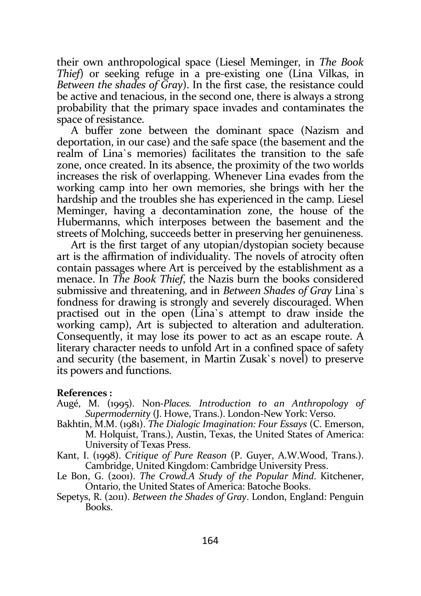their own anthropological space (Liesel Meminger, in The Book Thief) or seeking refuge in a pre-existing one (Lina Vilkas, in Between the shades of Gray). In the first case, the resistance could be active and tenacious, in the second one, there is always a strong probability that the primary space invades and contaminates the space of resistance.

A buffer zone between the dominant space (Nazism and deportation, in our case) and the safe space (the basement and the realm of Lina`s memories) facilitates the transition to the safe zone, once created. In its absence, the proximity of the two worlds increases the risk of overlapping. Whenever Lina evades from the working camp into her own memories, she brings with her the hardship and the troubles she has experienced in the camp. Liesel Meminger, having a decontamination zone, the house of the Hubermanns, which interposes between the basement and the streets of Molching, succeeds better in preserving her genuineness.

Art is the first target of any utopian/dystopian society because art is the affirmation of individuality. The novels of atrocity often contain passages where Art is perceived by the establishment as a menace. In The Book Thief, the Nazis burn the books considered submissive and threatening, and in Between Shades of Gray Lina`s fondness for drawing is strongly and severely discouraged. When practised out in the open (Lina`s attempt to draw inside the working camp), Art is subjected to alteration and adulteration. Consequently, it may lose its power to act as an escape route. A literary character needs to unfold Art in a confined space of safety and security (the basement, in Martin Zusak`s novel) to preserve its powers and functions.

#### References :

- Augé, M. (1995). Non-Places. Introduction to an Anthropology of Supermodernity (J. Howe, Trans.). London-New York: Verso.
- Bakhtin, M.M. (1981). The Dialogic Imagination: Four Essays (C. Emerson, M. Holquist, Trans.), Austin, Texas, the United States of America: University of Texas Press.
- Kant, I. (1998). Critique of Pure Reason (P. Guyer, A.W.Wood, Trans.). Cambridge, United Kingdom: Cambridge University Press.
- Le Bon, G. (2001). The Crowd.A Study of the Popular Mind. Kitchener, Ontario, the United States of America: Batoche Books.
- Sepetys, R. (2011). Between the Shades of Gray. London, England: Penguin Books.